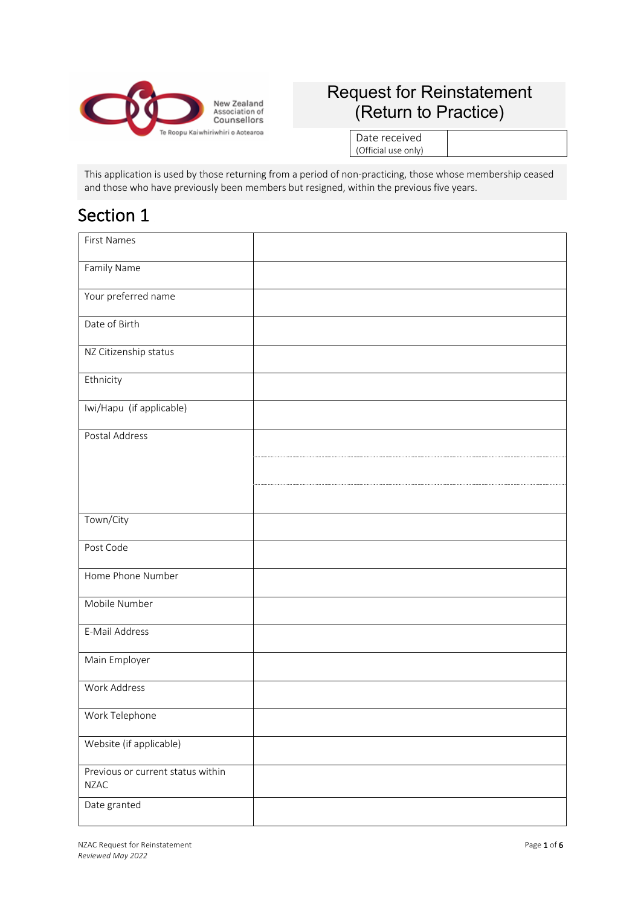

### Request for Reinstatement (Return to Practice)

Date received (Official use only)

This application is used by those returning from a period of non-practicing, those whose membership ceased and those who have previously been members but resigned, within the previous five years.

### Section 1

| <b>First Names</b>                               |  |
|--------------------------------------------------|--|
| Family Name                                      |  |
| Your preferred name                              |  |
| Date of Birth                                    |  |
| NZ Citizenship status                            |  |
| Ethnicity                                        |  |
| Iwi/Hapu (if applicable)                         |  |
| Postal Address                                   |  |
|                                                  |  |
|                                                  |  |
| Town/City                                        |  |
| Post Code                                        |  |
| Home Phone Number                                |  |
| Mobile Number                                    |  |
| E-Mail Address                                   |  |
| Main Employer                                    |  |
| Work Address                                     |  |
| Work Telephone                                   |  |
| Website (if applicable)                          |  |
| Previous or current status within<br><b>NZAC</b> |  |
| Date granted                                     |  |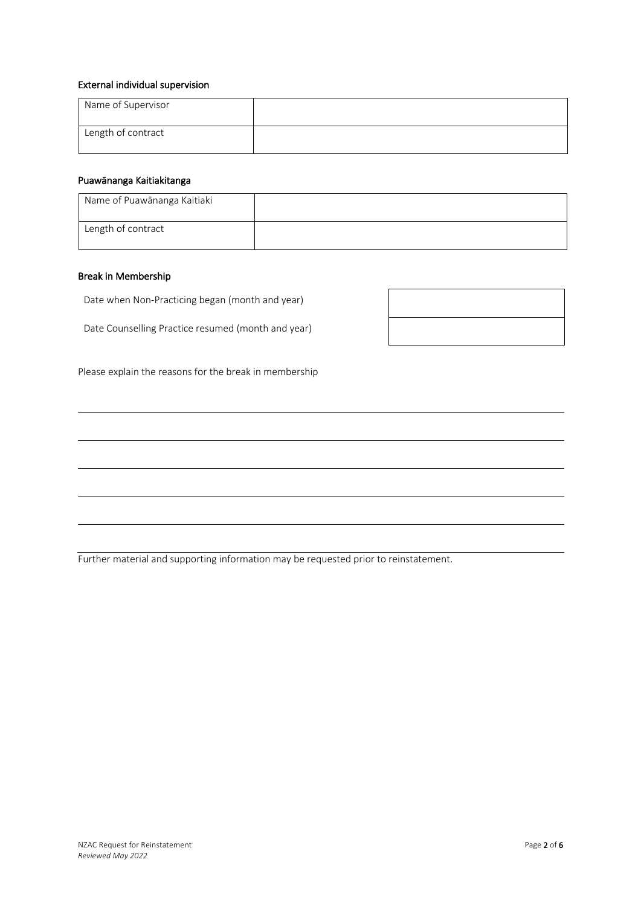#### External individual supervision

| Name of Supervisor |  |
|--------------------|--|
| Length of contract |  |

### Puawānanga Kaitiakitanga

| Name of Puawānanga Kaitiaki |  |
|-----------------------------|--|
| Length of contract          |  |

 $\Gamma$ 

#### Break in Membership

Date when Non-Practicing began (month and year)

Date Counselling Practice resumed (month and year)

 $\overline{\phantom{a}}$ 

Please explain the reasons for the break in membership

Further material and supporting information may be requested prior to reinstatement.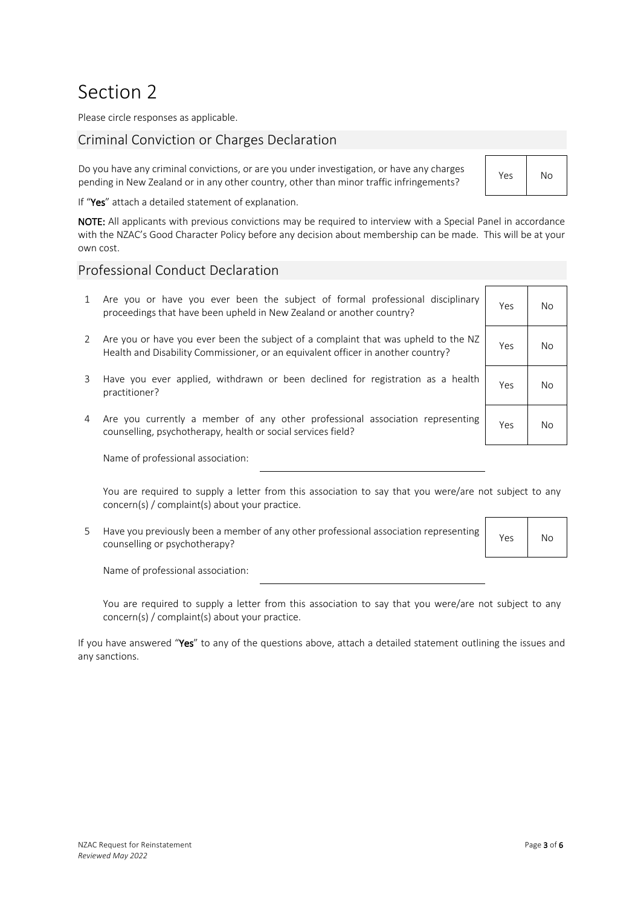## Section 2

Please circle responses as applicable.

### Criminal Conviction or Charges Declaration

Do you have any criminal convictions, or are you under investigation, or have any charges pending in New Zealand or in any other country, other than minor traffic infringements? Yes No

If "Yes" attach a detailed statement of explanation.

NOTE: All applicants with previous convictions may be required to interview with a Special Panel in accordance with the NZAC's Good Character Policy before any decision about membership can be made. This will be at your own cost.

### Professional Conduct Declaration

- 1 Are you or have you ever been the subject of formal professional disciplinary proceedings that have been upheld in New Zealand or another country?
- 2 Are you or have you ever been the subject of a complaint that was upheld to the NZ Health and Disability Commissioner, or an equivalent officer in another country?
- 3 Have you ever applied, withdrawn or been declined for registration as a health practitioner? Yes No
- 4 Are you currently a member of any other professional association representing counselling, psychotherapy, health or social services field? Yes November 2014

Name of professional association:

You are required to supply a letter from this association to say that you were/are not subject to any concern(s) / complaint(s) about your practice.

5 Have you previously been a member of any other professional association representing riave you previously been a member of any other professional association representing Yes No

Name of professional association:

You are required to supply a letter from this association to say that you were/are not subject to any concern(s) / complaint(s) about your practice.

If you have answered "Yes" to any of the questions above, attach a detailed statement outlining the issues and any sanctions.

| Yes | No |
|-----|----|
| Yes | No |
| Yes | No |
| Yes | No |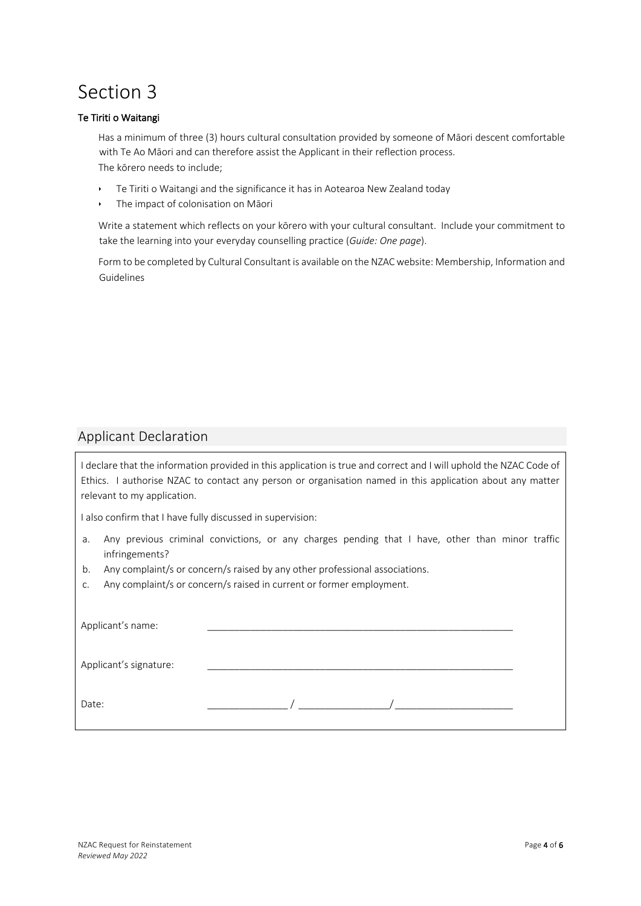# Section 3

### Te Tiriti o Waitangi

Has a minimum of three (3) hours cultural consultation provided by someone of Māori descent comfortable with Te Ao Māori and can therefore assist the Applicant in their reflection process. The kōrero needs to include;

- F Te Tiriti o Waitangi and the significance it has in Aotearoa New Zealand today
- The impact of colonisation on Māori

Write a statement which reflects on your kōrero with your cultural consultant. Include your commitment to take the learning into your everyday counselling practice (*Guide: One page*).

Form to be completed by Cultural Consultant is available on the NZAC website: Membership, Information and Guidelines

### Applicant Declaration

I declare that the information provided in this application is true and correct and I will uphold the NZAC Code of Ethics. I authorise NZAC to contact any person or organisation named in this application about any matter relevant to my application.

I also confirm that I have fully discussed in supervision:

- a. Any previous criminal convictions, or any charges pending that I have, other than minor traffic infringements?
- b. Any complaint/s or concern/s raised by any other professional associations.
- c. Any complaint/s or concern/s raised in current or former employment.

| Applicant's name:      |  |  |
|------------------------|--|--|
| Applicant's signature: |  |  |
| Date:                  |  |  |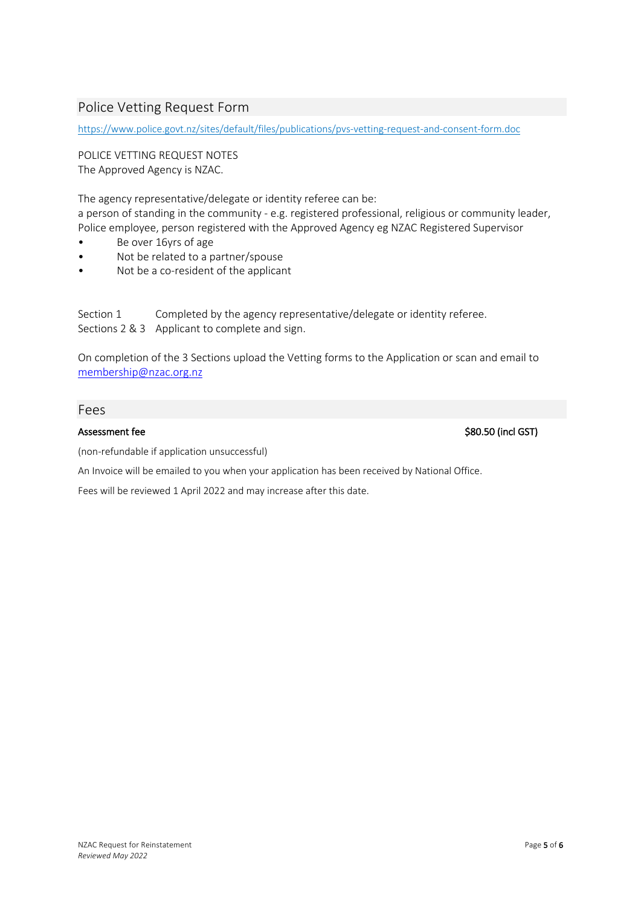### Police Vetting Request Form

https://www.police.govt.nz/sites/default/files/publications/pvs-vetting-request-and-consent-form.doc

POLICE VETTING REQUEST NOTES The Approved Agency is NZAC.

The agency representative/delegate or identity referee can be: a person of standing in the community - e.g. registered professional, religious or community leader, Police employee, person registered with the Approved Agency eg NZAC Registered Supervisor

- Be over 16yrs of age
- Not be related to a partner/spouse
- Not be a co-resident of the applicant

Section 1 Completed by the agency representative/delegate or identity referee. Sections 2 & 3 Applicant to complete and sign.

On completion of the 3 Sections upload the Vetting forms to the Application or scan and email to membership@nzac.org.nz

### Fees

Assessment fee  $$80.50$  (incl GST)

(non-refundable if application unsuccessful)

An Invoice will be emailed to you when your application has been received by National Office.

Fees will be reviewed 1 April 2022 and may increase after this date.